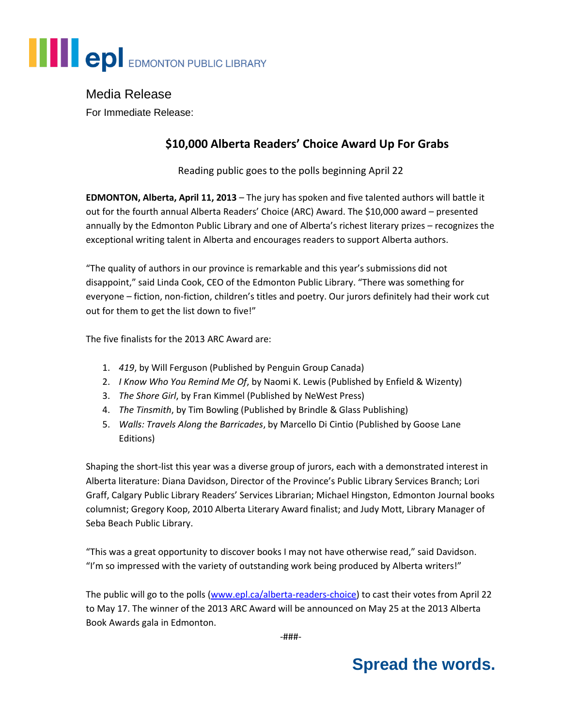# **EDI** EDMONTON PUBLIC LIBRARY

## Media Release

For Immediate Release:

## **\$10,000 Alberta Readers' Choice Award Up For Grabs**

Reading public goes to the polls beginning April 22

**EDMONTON, Alberta, April 11, 2013** – The jury has spoken and five talented authors will battle it out for the fourth annual Alberta Readers' Choice (ARC) Award. The \$10,000 award – presented annually by the Edmonton Public Library and one of Alberta's richest literary prizes – recognizes the exceptional writing talent in Alberta and encourages readers to support Alberta authors.

"The quality of authors in our province is remarkable and this year's submissions did not disappoint," said Linda Cook, CEO of the Edmonton Public Library. "There was something for everyone – fiction, non-fiction, children's titles and poetry. Our jurors definitely had their work cut out for them to get the list down to five!"

The five finalists for the 2013 ARC Award are:

- 1. *419*, by Will Ferguson (Published by Penguin Group Canada)
- 2. *I Know Who You Remind Me Of*, by Naomi K. Lewis (Published by Enfield & Wizenty)
- 3. *The Shore Girl*, by Fran Kimmel (Published by NeWest Press)
- 4. *The Tinsmith*, by Tim Bowling (Published by Brindle & Glass Publishing)
- 5. *Walls: Travels Along the Barricades*, by Marcello Di Cintio (Published by Goose Lane Editions)

Shaping the short-list this year was a diverse group of jurors, each with a demonstrated interest in Alberta literature: Diana Davidson, Director of the Province's Public Library Services Branch; Lori Graff, Calgary Public Library Readers' Services Librarian; Michael Hingston, Edmonton Journal books columnist; Gregory Koop, 2010 Alberta Literary Award finalist; and Judy Mott, Library Manager of Seba Beach Public Library.

"This was a great opportunity to discover books I may not have otherwise read," said Davidson. "I'm so impressed with the variety of outstanding work being produced by Alberta writers!"

The public will go to the polls [\(www.epl.ca/alberta-readers-choice\)](http://www.epl.ca/alberta-readers-choice) to cast their votes from April 22 to May 17. The winner of the 2013 ARC Award will be announced on May 25 at the 2013 Alberta Book Awards gala in Edmonton.

-###-

# **Spread the words.**